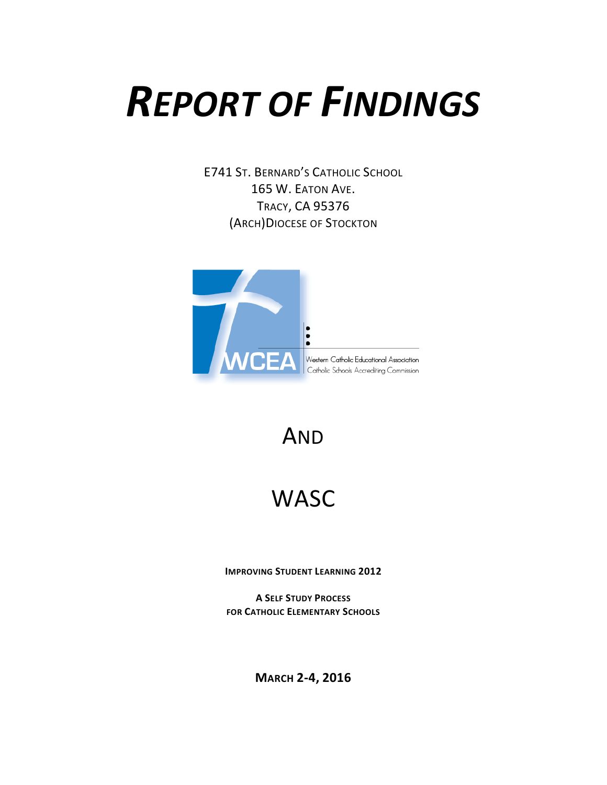# *REPORT OF FINDINGS*

E741 ST. BERNARD'S CATHOLIC SCHOOL 165 W. EATON AVE. TRACY, CA 95376 (ARCH)DIOCESE OF STOCKTON



# AND

# **WASC**

**IMPROVING STUDENT LEARNING 2012**

**A SELF STUDY PROCESS FOR CATHOLIC ELEMENTARY SCHOOLS**

**MARCH 2-4, 2016**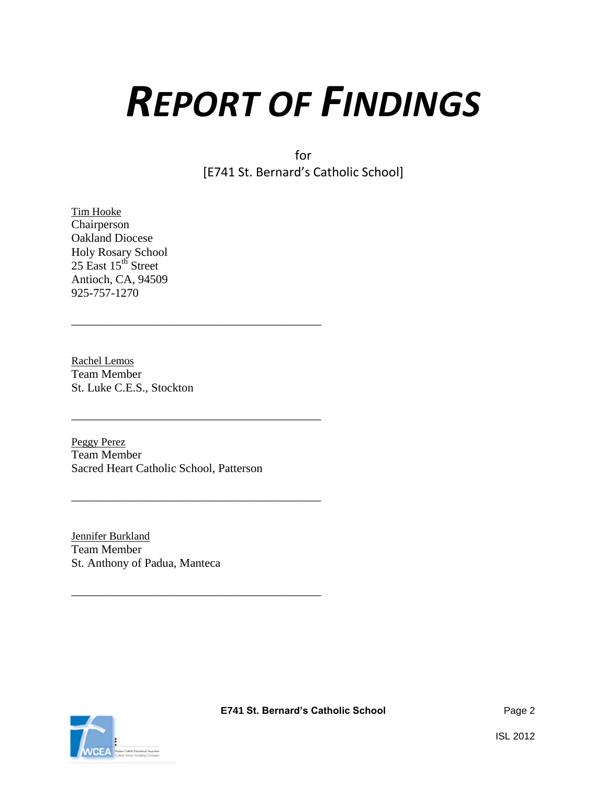# *REPORT OF FINDINGS*

for [E741 St. Bernard's Catholic School]

Tim Hooke Chairperson Oakland Diocese Holy Rosary School 25 East 15<sup>th</sup> Street Antioch, CA, 94509 925-757-1270

Rachel Lemos Team Member St. Luke C.E.S., Stockton

Peggy Perez Team Member Sacred Heart Catholic School, Patterson

\_\_\_\_\_\_\_\_\_\_\_\_\_\_\_\_\_\_\_\_\_\_\_\_\_\_\_\_\_\_\_\_\_\_\_\_\_\_\_\_\_\_

\_\_\_\_\_\_\_\_\_\_\_\_\_\_\_\_\_\_\_\_\_\_\_\_\_\_\_\_\_\_\_\_\_\_\_\_\_\_\_\_\_\_

\_\_\_\_\_\_\_\_\_\_\_\_\_\_\_\_\_\_\_\_\_\_\_\_\_\_\_\_\_\_\_\_\_\_\_\_\_\_\_\_\_\_

\_\_\_\_\_\_\_\_\_\_\_\_\_\_\_\_\_\_\_\_\_\_\_\_\_\_\_\_\_\_\_\_\_\_\_\_\_\_\_\_\_\_

Jennifer Burkland Team Member St. Anthony of Padua, Manteca

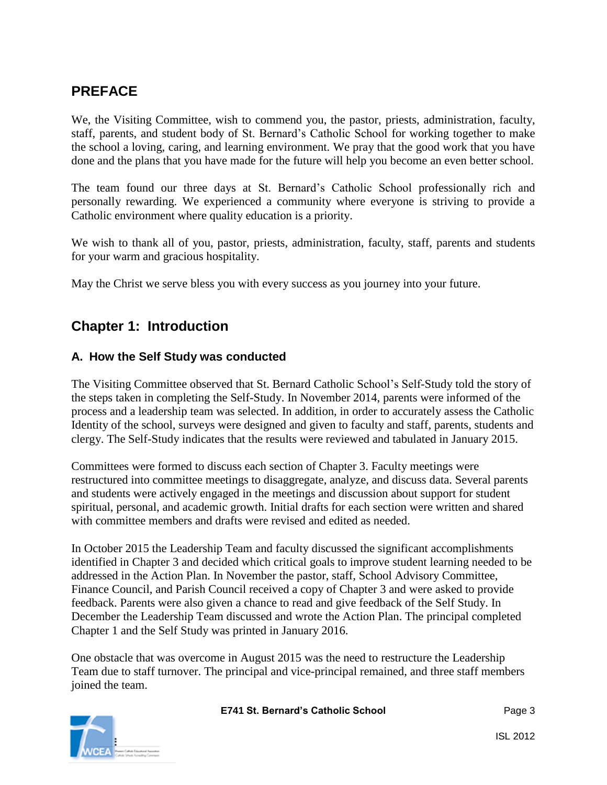# **PREFACE**

We, the Visiting Committee, wish to commend you, the pastor, priests, administration, faculty, staff, parents, and student body of St. Bernard's Catholic School for working together to make the school a loving, caring, and learning environment. We pray that the good work that you have done and the plans that you have made for the future will help you become an even better school.

The team found our three days at St. Bernard's Catholic School professionally rich and personally rewarding. We experienced a community where everyone is striving to provide a Catholic environment where quality education is a priority.

We wish to thank all of you, pastor, priests, administration, faculty, staff, parents and students for your warm and gracious hospitality.

May the Christ we serve bless you with every success as you journey into your future.

# **Chapter 1: Introduction**

## **A. How the Self Study was conducted**

The Visiting Committee observed that St. Bernard Catholic School's Self-Study told the story of the steps taken in completing the Self-Study. In November 2014, parents were informed of the process and a leadership team was selected. In addition, in order to accurately assess the Catholic Identity of the school, surveys were designed and given to faculty and staff, parents, students and clergy. The Self-Study indicates that the results were reviewed and tabulated in January 2015.

Committees were formed to discuss each section of Chapter 3. Faculty meetings were restructured into committee meetings to disaggregate, analyze, and discuss data. Several parents and students were actively engaged in the meetings and discussion about support for student spiritual, personal, and academic growth. Initial drafts for each section were written and shared with committee members and drafts were revised and edited as needed.

In October 2015 the Leadership Team and faculty discussed the significant accomplishments identified in Chapter 3 and decided which critical goals to improve student learning needed to be addressed in the Action Plan. In November the pastor, staff, School Advisory Committee, Finance Council, and Parish Council received a copy of Chapter 3 and were asked to provide feedback. Parents were also given a chance to read and give feedback of the Self Study. In December the Leadership Team discussed and wrote the Action Plan. The principal completed Chapter 1 and the Self Study was printed in January 2016.

One obstacle that was overcome in August 2015 was the need to restructure the Leadership Team due to staff turnover. The principal and vice-principal remained, and three staff members joined the team.

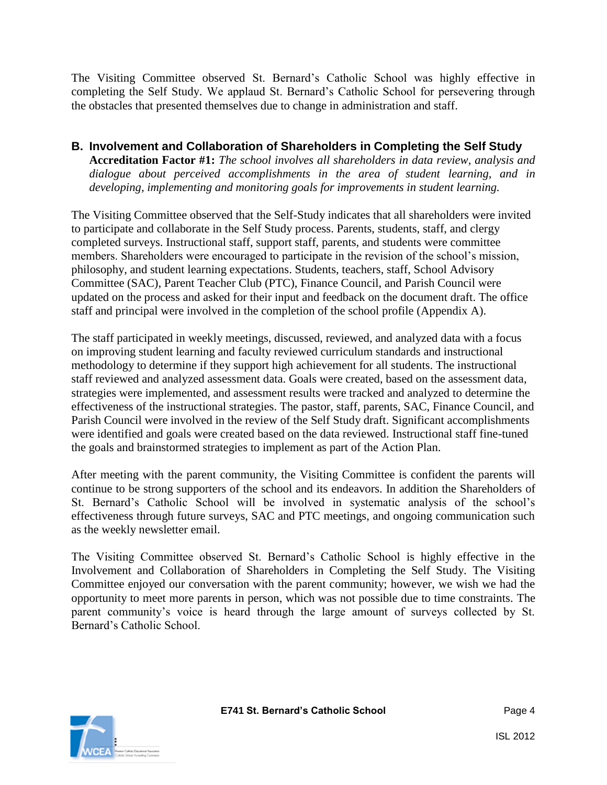The Visiting Committee observed St. Bernard's Catholic School was highly effective in completing the Self Study. We applaud St. Bernard's Catholic School for persevering through the obstacles that presented themselves due to change in administration and staff.

#### **B. Involvement and Collaboration of Shareholders in Completing the Self Study Accreditation Factor #1:** *The school involves all shareholders in data review, analysis and dialogue about perceived accomplishments in the area of student learning, and in developing, implementing and monitoring goals for improvements in student learning.*

The Visiting Committee observed that the Self-Study indicates that all shareholders were invited to participate and collaborate in the Self Study process. Parents, students, staff, and clergy completed surveys. Instructional staff, support staff, parents, and students were committee members. Shareholders were encouraged to participate in the revision of the school's mission, philosophy, and student learning expectations. Students, teachers, staff, School Advisory Committee (SAC), Parent Teacher Club (PTC), Finance Council, and Parish Council were updated on the process and asked for their input and feedback on the document draft. The office staff and principal were involved in the completion of the school profile (Appendix A).

The staff participated in weekly meetings, discussed, reviewed, and analyzed data with a focus on improving student learning and faculty reviewed curriculum standards and instructional methodology to determine if they support high achievement for all students. The instructional staff reviewed and analyzed assessment data. Goals were created, based on the assessment data, strategies were implemented, and assessment results were tracked and analyzed to determine the effectiveness of the instructional strategies. The pastor, staff, parents, SAC, Finance Council, and Parish Council were involved in the review of the Self Study draft. Significant accomplishments were identified and goals were created based on the data reviewed. Instructional staff fine-tuned the goals and brainstormed strategies to implement as part of the Action Plan.

After meeting with the parent community, the Visiting Committee is confident the parents will continue to be strong supporters of the school and its endeavors. In addition the Shareholders of St. Bernard's Catholic School will be involved in systematic analysis of the school's effectiveness through future surveys, SAC and PTC meetings, and ongoing communication such as the weekly newsletter email.

The Visiting Committee observed St. Bernard's Catholic School is highly effective in the Involvement and Collaboration of Shareholders in Completing the Self Study. The Visiting Committee enjoyed our conversation with the parent community; however, we wish we had the opportunity to meet more parents in person, which was not possible due to time constraints. The parent community's voice is heard through the large amount of surveys collected by St. Bernard's Catholic School.

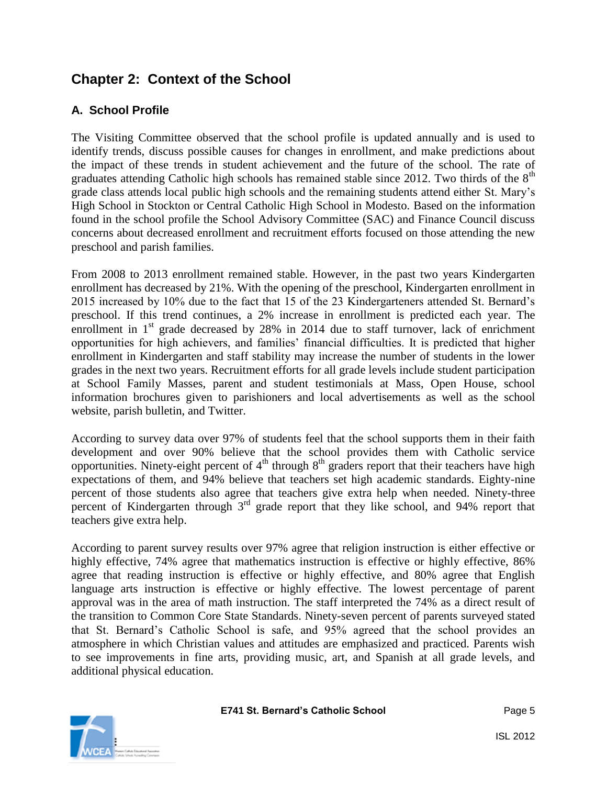# **Chapter 2: Context of the School**

# **A. School Profile**

The Visiting Committee observed that the school profile is updated annually and is used to identify trends, discuss possible causes for changes in enrollment, and make predictions about the impact of these trends in student achievement and the future of the school. The rate of graduates attending Catholic high schools has remained stable since 2012. Two thirds of the  $8<sup>th</sup>$ grade class attends local public high schools and the remaining students attend either St. Mary's High School in Stockton or Central Catholic High School in Modesto. Based on the information found in the school profile the School Advisory Committee (SAC) and Finance Council discuss concerns about decreased enrollment and recruitment efforts focused on those attending the new preschool and parish families.

From 2008 to 2013 enrollment remained stable. However, in the past two years Kindergarten enrollment has decreased by 21%. With the opening of the preschool, Kindergarten enrollment in 2015 increased by 10% due to the fact that 15 of the 23 Kindergarteners attended St. Bernard's preschool. If this trend continues, a 2% increase in enrollment is predicted each year. The enrollment in  $1<sup>st</sup>$  grade decreased by 28% in 2014 due to staff turnover, lack of enrichment opportunities for high achievers, and families' financial difficulties. It is predicted that higher enrollment in Kindergarten and staff stability may increase the number of students in the lower grades in the next two years. Recruitment efforts for all grade levels include student participation at School Family Masses, parent and student testimonials at Mass, Open House, school information brochures given to parishioners and local advertisements as well as the school website, parish bulletin, and Twitter.

According to survey data over 97% of students feel that the school supports them in their faith development and over 90% believe that the school provides them with Catholic service opportunities. Ninety-eight percent of  $4<sup>th</sup>$  through  $8<sup>th</sup>$  graders report that their teachers have high expectations of them, and 94% believe that teachers set high academic standards. Eighty-nine percent of those students also agree that teachers give extra help when needed. Ninety-three percent of Kindergarten through 3rd grade report that they like school, and 94% report that teachers give extra help.

According to parent survey results over 97% agree that religion instruction is either effective or highly effective, 74% agree that mathematics instruction is effective or highly effective, 86% agree that reading instruction is effective or highly effective, and 80% agree that English language arts instruction is effective or highly effective. The lowest percentage of parent approval was in the area of math instruction. The staff interpreted the 74% as a direct result of the transition to Common Core State Standards. Ninety-seven percent of parents surveyed stated that St. Bernard's Catholic School is safe, and 95% agreed that the school provides an atmosphere in which Christian values and attitudes are emphasized and practiced. Parents wish to see improvements in fine arts, providing music, art, and Spanish at all grade levels, and additional physical education.

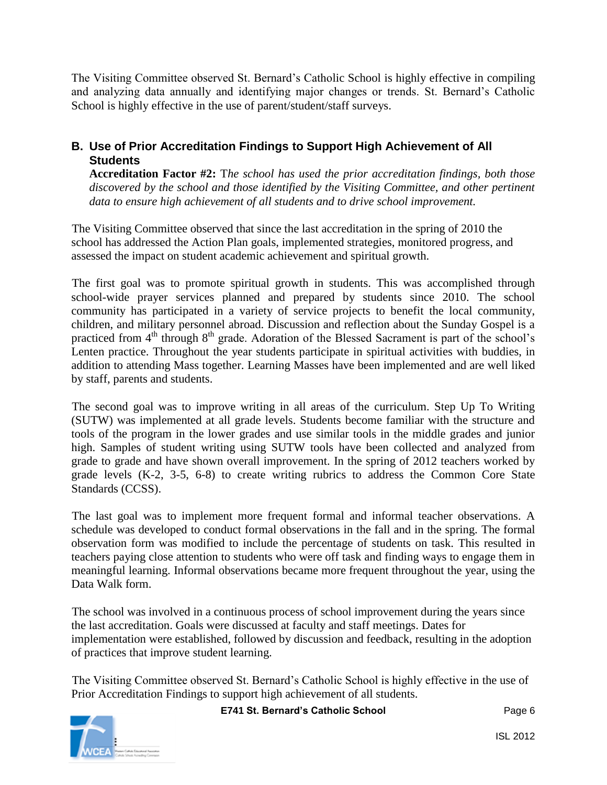The Visiting Committee observed St. Bernard's Catholic School is highly effective in compiling and analyzing data annually and identifying major changes or trends. St. Bernard's Catholic School is highly effective in the use of parent/student/staff surveys.

## **B. Use of Prior Accreditation Findings to Support High Achievement of All Students**

**Accreditation Factor #2:** T*he school has used the prior accreditation findings, both those discovered by the school and those identified by the Visiting Committee, and other pertinent data to ensure high achievement of all students and to drive school improvement.*

The Visiting Committee observed that since the last accreditation in the spring of 2010 the school has addressed the Action Plan goals, implemented strategies, monitored progress, and assessed the impact on student academic achievement and spiritual growth.

The first goal was to promote spiritual growth in students. This was accomplished through school-wide prayer services planned and prepared by students since 2010. The school community has participated in a variety of service projects to benefit the local community, children, and military personnel abroad. Discussion and reflection about the Sunday Gospel is a practiced from 4<sup>th</sup> through 8<sup>th</sup> grade. Adoration of the Blessed Sacrament is part of the school's Lenten practice. Throughout the year students participate in spiritual activities with buddies, in addition to attending Mass together. Learning Masses have been implemented and are well liked by staff, parents and students.

The second goal was to improve writing in all areas of the curriculum. Step Up To Writing (SUTW) was implemented at all grade levels. Students become familiar with the structure and tools of the program in the lower grades and use similar tools in the middle grades and junior high. Samples of student writing using SUTW tools have been collected and analyzed from grade to grade and have shown overall improvement. In the spring of 2012 teachers worked by grade levels (K-2, 3-5, 6-8) to create writing rubrics to address the Common Core State Standards (CCSS).

The last goal was to implement more frequent formal and informal teacher observations. A schedule was developed to conduct formal observations in the fall and in the spring. The formal observation form was modified to include the percentage of students on task. This resulted in teachers paying close attention to students who were off task and finding ways to engage them in meaningful learning. Informal observations became more frequent throughout the year, using the Data Walk form.

The school was involved in a continuous process of school improvement during the years since the last accreditation. Goals were discussed at faculty and staff meetings. Dates for implementation were established, followed by discussion and feedback, resulting in the adoption of practices that improve student learning.

The Visiting Committee observed St. Bernard's Catholic School is highly effective in the use of Prior Accreditation Findings to support high achievement of all students.



**E741 St. Bernard's Catholic School** Page 6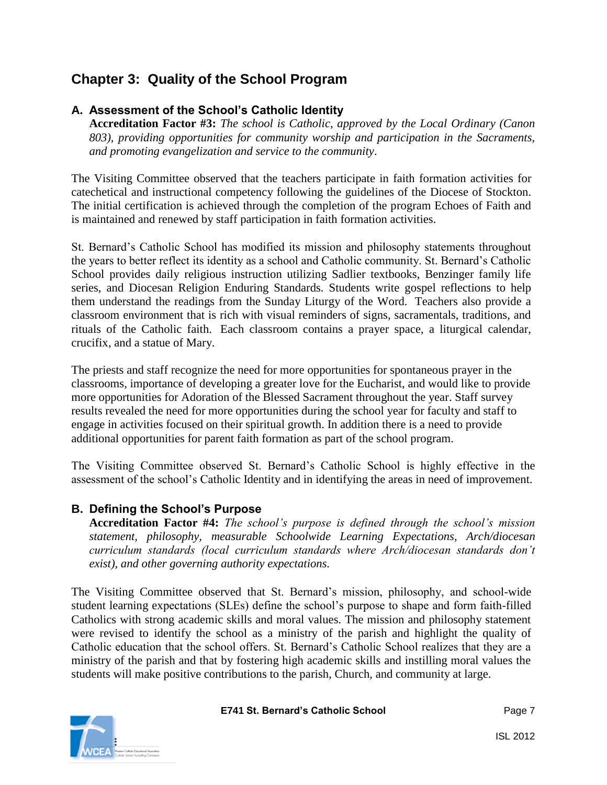# **Chapter 3: Quality of the School Program**

# **A. Assessment of the School's Catholic Identity**

**Accreditation Factor #3:** *The school is Catholic, approved by the Local Ordinary (Canon 803), providing opportunities for community worship and participation in the Sacraments, and promoting evangelization and service to the community*.

The Visiting Committee observed that the teachers participate in faith formation activities for catechetical and instructional competency following the guidelines of the Diocese of Stockton. The initial certification is achieved through the completion of the program Echoes of Faith and is maintained and renewed by staff participation in faith formation activities.

St. Bernard's Catholic School has modified its mission and philosophy statements throughout the years to better reflect its identity as a school and Catholic community. St. Bernard's Catholic School provides daily religious instruction utilizing Sadlier textbooks, Benzinger family life series, and Diocesan Religion Enduring Standards. Students write gospel reflections to help them understand the readings from the Sunday Liturgy of the Word. Teachers also provide a classroom environment that is rich with visual reminders of signs, sacramentals, traditions, and rituals of the Catholic faith. Each classroom contains a prayer space, a liturgical calendar, crucifix, and a statue of Mary.

The priests and staff recognize the need for more opportunities for spontaneous prayer in the classrooms, importance of developing a greater love for the Eucharist, and would like to provide more opportunities for Adoration of the Blessed Sacrament throughout the year. Staff survey results revealed the need for more opportunities during the school year for faculty and staff to engage in activities focused on their spiritual growth. In addition there is a need to provide additional opportunities for parent faith formation as part of the school program.

The Visiting Committee observed St. Bernard's Catholic School is highly effective in the assessment of the school's Catholic Identity and in identifying the areas in need of improvement.

# **B. Defining the School's Purpose**

**Accreditation Factor #4:** *The school's purpose is defined through the school's mission statement, philosophy, measurable Schoolwide Learning Expectations, Arch/diocesan curriculum standards (local curriculum standards where Arch/diocesan standards don't exist), and other governing authority expectations.*

The Visiting Committee observed that St. Bernard's mission, philosophy, and school-wide student learning expectations (SLEs) define the school's purpose to shape and form faith-filled Catholics with strong academic skills and moral values. The mission and philosophy statement were revised to identify the school as a ministry of the parish and highlight the quality of Catholic education that the school offers. St. Bernard's Catholic School realizes that they are a ministry of the parish and that by fostering high academic skills and instilling moral values the students will make positive contributions to the parish, Church, and community at large.

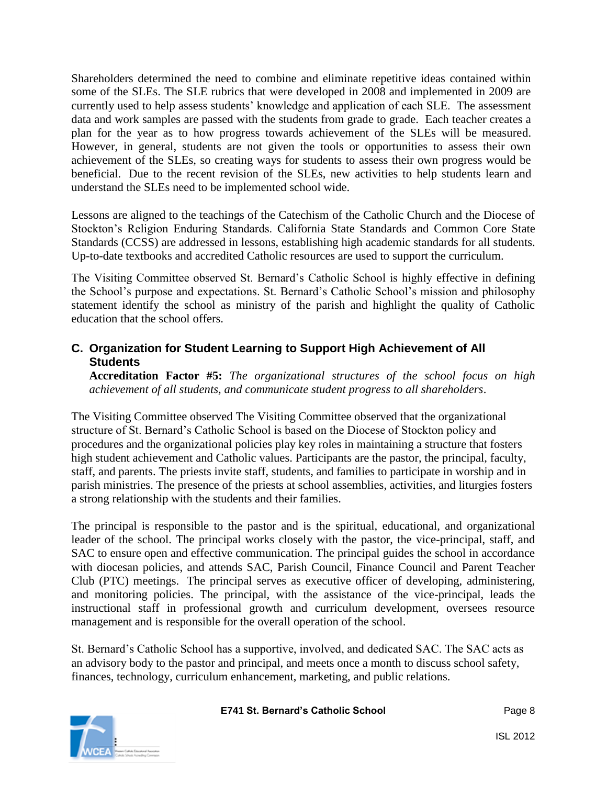Shareholders determined the need to combine and eliminate repetitive ideas contained within some of the SLEs. The SLE rubrics that were developed in 2008 and implemented in 2009 are currently used to help assess students' knowledge and application of each SLE. The assessment data and work samples are passed with the students from grade to grade. Each teacher creates a plan for the year as to how progress towards achievement of the SLEs will be measured. However, in general, students are not given the tools or opportunities to assess their own achievement of the SLEs, so creating ways for students to assess their own progress would be beneficial. Due to the recent revision of the SLEs, new activities to help students learn and understand the SLEs need to be implemented school wide.

Lessons are aligned to the teachings of the Catechism of the Catholic Church and the Diocese of Stockton's Religion Enduring Standards. California State Standards and Common Core State Standards (CCSS) are addressed in lessons, establishing high academic standards for all students. Up-to-date textbooks and accredited Catholic resources are used to support the curriculum.

The Visiting Committee observed St. Bernard's Catholic School is highly effective in defining the School's purpose and expectations. St. Bernard's Catholic School's mission and philosophy statement identify the school as ministry of the parish and highlight the quality of Catholic education that the school offers.

## **C. Organization for Student Learning to Support High Achievement of All Students**

**Accreditation Factor #5:** *The organizational structures of the school focus on high achievement of all students, and communicate student progress to all shareholders*.

The Visiting Committee observed The Visiting Committee observed that the organizational structure of St. Bernard's Catholic School is based on the Diocese of Stockton policy and procedures and the organizational policies play key roles in maintaining a structure that fosters high student achievement and Catholic values. Participants are the pastor, the principal, faculty, staff, and parents. The priests invite staff, students, and families to participate in worship and in parish ministries. The presence of the priests at school assemblies, activities, and liturgies fosters a strong relationship with the students and their families.

The principal is responsible to the pastor and is the spiritual, educational, and organizational leader of the school. The principal works closely with the pastor, the vice-principal, staff, and SAC to ensure open and effective communication. The principal guides the school in accordance with diocesan policies, and attends SAC, Parish Council, Finance Council and Parent Teacher Club (PTC) meetings. The principal serves as executive officer of developing, administering, and monitoring policies. The principal, with the assistance of the vice-principal, leads the instructional staff in professional growth and curriculum development, oversees resource management and is responsible for the overall operation of the school.

St. Bernard's Catholic School has a supportive, involved, and dedicated SAC. The SAC acts as an advisory body to the pastor and principal, and meets once a month to discuss school safety, finances, technology, curriculum enhancement, marketing, and public relations.

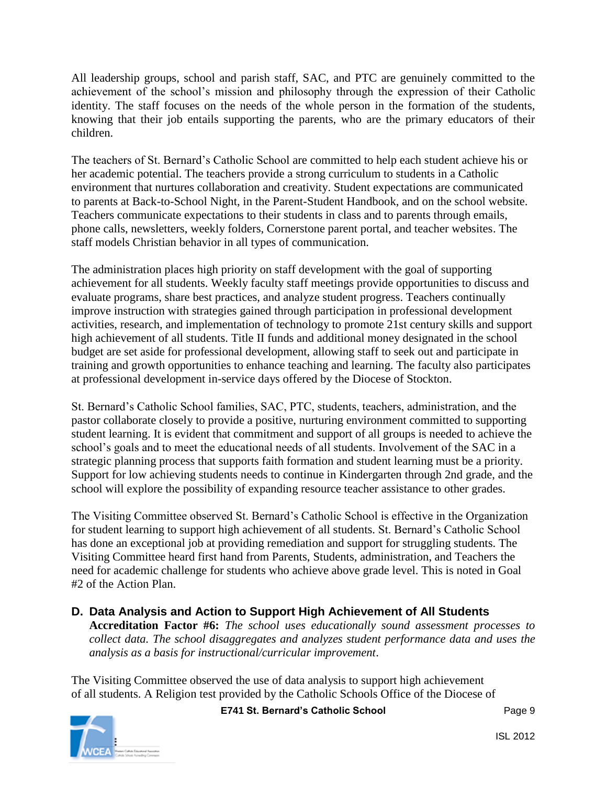All leadership groups, school and parish staff, SAC, and PTC are genuinely committed to the achievement of the school's mission and philosophy through the expression of their Catholic identity. The staff focuses on the needs of the whole person in the formation of the students, knowing that their job entails supporting the parents, who are the primary educators of their children.

The teachers of St. Bernard's Catholic School are committed to help each student achieve his or her academic potential. The teachers provide a strong curriculum to students in a Catholic environment that nurtures collaboration and creativity. Student expectations are communicated to parents at Back-to-School Night, in the Parent-Student Handbook, and on the school website. Teachers communicate expectations to their students in class and to parents through emails, phone calls, newsletters, weekly folders, Cornerstone parent portal, and teacher websites. The staff models Christian behavior in all types of communication.

The administration places high priority on staff development with the goal of supporting achievement for all students. Weekly faculty staff meetings provide opportunities to discuss and evaluate programs, share best practices, and analyze student progress. Teachers continually improve instruction with strategies gained through participation in professional development activities, research, and implementation of technology to promote 21st century skills and support high achievement of all students. Title II funds and additional money designated in the school budget are set aside for professional development, allowing staff to seek out and participate in training and growth opportunities to enhance teaching and learning. The faculty also participates at professional development in-service days offered by the Diocese of Stockton.

St. Bernard's Catholic School families, SAC, PTC, students, teachers, administration, and the pastor collaborate closely to provide a positive, nurturing environment committed to supporting student learning. It is evident that commitment and support of all groups is needed to achieve the school's goals and to meet the educational needs of all students. Involvement of the SAC in a strategic planning process that supports faith formation and student learning must be a priority. Support for low achieving students needs to continue in Kindergarten through 2nd grade, and the school will explore the possibility of expanding resource teacher assistance to other grades.

The Visiting Committee observed St. Bernard's Catholic School is effective in the Organization for student learning to support high achievement of all students. St. Bernard's Catholic School has done an exceptional job at providing remediation and support for struggling students. The Visiting Committee heard first hand from Parents, Students, administration, and Teachers the need for academic challenge for students who achieve above grade level. This is noted in Goal #2 of the Action Plan.

# **D. Data Analysis and Action to Support High Achievement of All Students**

**Accreditation Factor #6:** *The school uses educationally sound assessment processes to collect data. The school disaggregates and analyzes student performance data and uses the analysis as a basis for instructional/curricular improvement*.

The Visiting Committee observed the use of data analysis to support high achievement of all students. A Religion test provided by the Catholic Schools Office of the Diocese of



**E741 St. Bernard's Catholic School** Page 9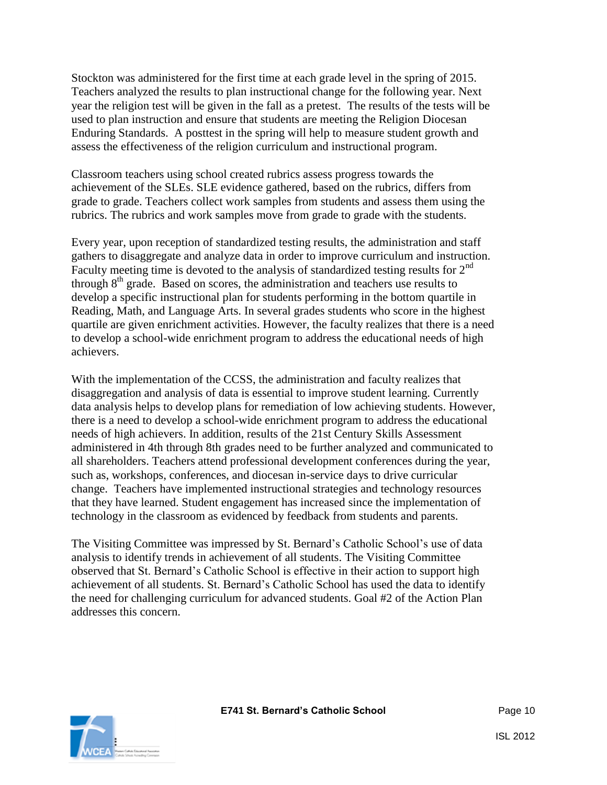Stockton was administered for the first time at each grade level in the spring of 2015. Teachers analyzed the results to plan instructional change for the following year. Next year the religion test will be given in the fall as a pretest. The results of the tests will be used to plan instruction and ensure that students are meeting the Religion Diocesan Enduring Standards. A posttest in the spring will help to measure student growth and assess the effectiveness of the religion curriculum and instructional program.

Classroom teachers using school created rubrics assess progress towards the achievement of the SLEs. SLE evidence gathered, based on the rubrics, differs from grade to grade. Teachers collect work samples from students and assess them using the rubrics. The rubrics and work samples move from grade to grade with the students.

Every year, upon reception of standardized testing results, the administration and staff gathers to disaggregate and analyze data in order to improve curriculum and instruction. Faculty meeting time is devoted to the analysis of standardized testing results for 2<sup>nd</sup> through  $8<sup>th</sup>$  grade. Based on scores, the administration and teachers use results to develop a specific instructional plan for students performing in the bottom quartile in Reading, Math, and Language Arts. In several grades students who score in the highest quartile are given enrichment activities. However, the faculty realizes that there is a need to develop a school-wide enrichment program to address the educational needs of high achievers.

With the implementation of the CCSS, the administration and faculty realizes that disaggregation and analysis of data is essential to improve student learning. Currently data analysis helps to develop plans for remediation of low achieving students. However, there is a need to develop a school-wide enrichment program to address the educational needs of high achievers. In addition, results of the 21st Century Skills Assessment administered in 4th through 8th grades need to be further analyzed and communicated to all shareholders. Teachers attend professional development conferences during the year, such as, workshops, conferences, and diocesan in-service days to drive curricular change. Teachers have implemented instructional strategies and technology resources that they have learned. Student engagement has increased since the implementation of technology in the classroom as evidenced by feedback from students and parents.

The Visiting Committee was impressed by St. Bernard's Catholic School's use of data analysis to identify trends in achievement of all students. The Visiting Committee observed that St. Bernard's Catholic School is effective in their action to support high achievement of all students. St. Bernard's Catholic School has used the data to identify the need for challenging curriculum for advanced students. Goal #2 of the Action Plan addresses this concern.

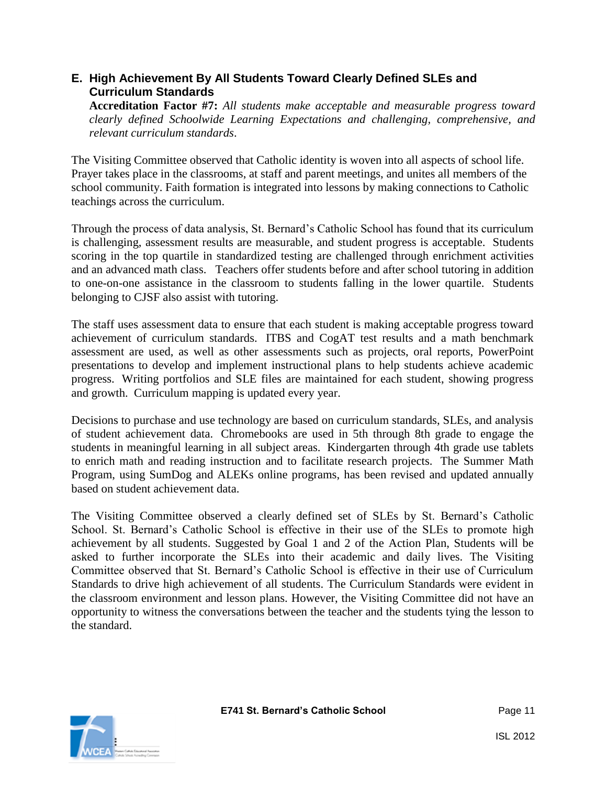## **E. High Achievement By All Students Toward Clearly Defined SLEs and Curriculum Standards**

**Accreditation Factor #7:** *All students make acceptable and measurable progress toward clearly defined Schoolwide Learning Expectations and challenging, comprehensive, and relevant curriculum standards*.

The Visiting Committee observed that Catholic identity is woven into all aspects of school life. Prayer takes place in the classrooms, at staff and parent meetings, and unites all members of the school community. Faith formation is integrated into lessons by making connections to Catholic teachings across the curriculum.

Through the process of data analysis, St. Bernard's Catholic School has found that its curriculum is challenging, assessment results are measurable, and student progress is acceptable. Students scoring in the top quartile in standardized testing are challenged through enrichment activities and an advanced math class. Teachers offer students before and after school tutoring in addition to one-on-one assistance in the classroom to students falling in the lower quartile. Students belonging to CJSF also assist with tutoring.

The staff uses assessment data to ensure that each student is making acceptable progress toward achievement of curriculum standards. ITBS and CogAT test results and a math benchmark assessment are used, as well as other assessments such as projects, oral reports, PowerPoint presentations to develop and implement instructional plans to help students achieve academic progress. Writing portfolios and SLE files are maintained for each student, showing progress and growth. Curriculum mapping is updated every year.

Decisions to purchase and use technology are based on curriculum standards, SLEs, and analysis of student achievement data. Chromebooks are used in 5th through 8th grade to engage the students in meaningful learning in all subject areas. Kindergarten through 4th grade use tablets to enrich math and reading instruction and to facilitate research projects. The Summer Math Program, using SumDog and ALEKs online programs, has been revised and updated annually based on student achievement data.

The Visiting Committee observed a clearly defined set of SLEs by St. Bernard's Catholic School. St. Bernard's Catholic School is effective in their use of the SLEs to promote high achievement by all students. Suggested by Goal 1 and 2 of the Action Plan, Students will be asked to further incorporate the SLEs into their academic and daily lives. The Visiting Committee observed that St. Bernard's Catholic School is effective in their use of Curriculum Standards to drive high achievement of all students. The Curriculum Standards were evident in the classroom environment and lesson plans. However, the Visiting Committee did not have an opportunity to witness the conversations between the teacher and the students tying the lesson to the standard.

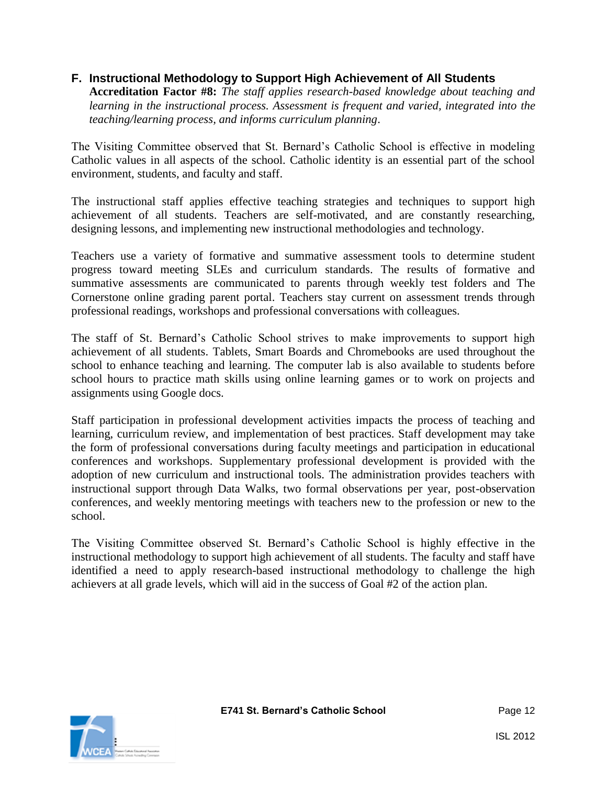#### **F. Instructional Methodology to Support High Achievement of All Students**

**Accreditation Factor #8:** *The staff applies research-based knowledge about teaching and learning in the instructional process. Assessment is frequent and varied, integrated into the teaching/learning process, and informs curriculum planning*.

The Visiting Committee observed that St. Bernard's Catholic School is effective in modeling Catholic values in all aspects of the school. Catholic identity is an essential part of the school environment, students, and faculty and staff.

The instructional staff applies effective teaching strategies and techniques to support high achievement of all students. Teachers are self-motivated, and are constantly researching, designing lessons, and implementing new instructional methodologies and technology.

Teachers use a variety of formative and summative assessment tools to determine student progress toward meeting SLEs and curriculum standards. The results of formative and summative assessments are communicated to parents through weekly test folders and The Cornerstone online grading parent portal. Teachers stay current on assessment trends through professional readings, workshops and professional conversations with colleagues.

The staff of St. Bernard's Catholic School strives to make improvements to support high achievement of all students. Tablets, Smart Boards and Chromebooks are used throughout the school to enhance teaching and learning. The computer lab is also available to students before school hours to practice math skills using online learning games or to work on projects and assignments using Google docs.

Staff participation in professional development activities impacts the process of teaching and learning, curriculum review, and implementation of best practices. Staff development may take the form of professional conversations during faculty meetings and participation in educational conferences and workshops. Supplementary professional development is provided with the adoption of new curriculum and instructional tools. The administration provides teachers with instructional support through Data Walks, two formal observations per year, post-observation conferences, and weekly mentoring meetings with teachers new to the profession or new to the school.

The Visiting Committee observed St. Bernard's Catholic School is highly effective in the instructional methodology to support high achievement of all students. The faculty and staff have identified a need to apply research-based instructional methodology to challenge the high achievers at all grade levels, which will aid in the success of Goal #2 of the action plan.

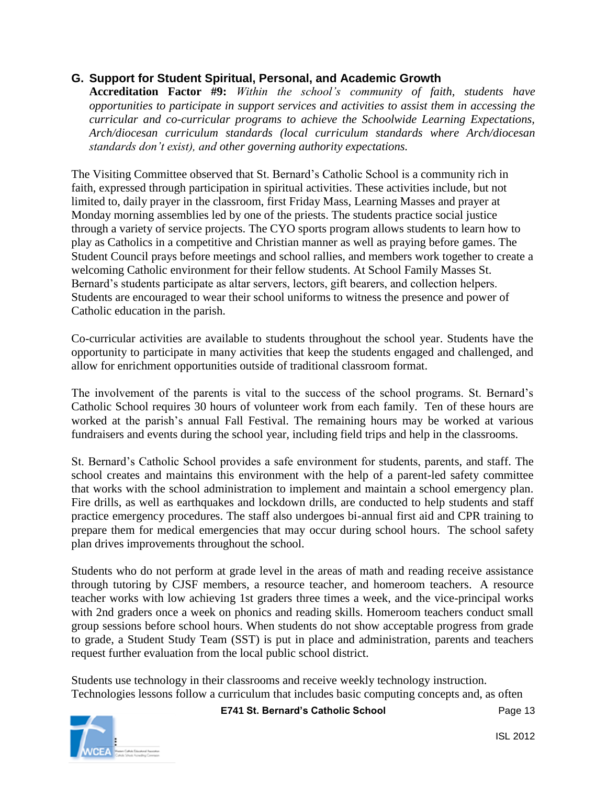#### **G. Support for Student Spiritual, Personal, and Academic Growth**

**Accreditation Factor #9:** *Within the school's community of faith, students have opportunities to participate in support services and activities to assist them in accessing the curricular and co-curricular programs to achieve the Schoolwide Learning Expectations, Arch/diocesan curriculum standards (local curriculum standards where Arch/diocesan standards don't exist), and other governing authority expectations.*

The Visiting Committee observed that St. Bernard's Catholic School is a community rich in faith, expressed through participation in spiritual activities. These activities include, but not limited to, daily prayer in the classroom, first Friday Mass, Learning Masses and prayer at Monday morning assemblies led by one of the priests. The students practice social justice through a variety of service projects. The CYO sports program allows students to learn how to play as Catholics in a competitive and Christian manner as well as praying before games. The Student Council prays before meetings and school rallies, and members work together to create a welcoming Catholic environment for their fellow students. At School Family Masses St. Bernard's students participate as altar servers, lectors, gift bearers, and collection helpers. Students are encouraged to wear their school uniforms to witness the presence and power of Catholic education in the parish.

Co-curricular activities are available to students throughout the school year. Students have the opportunity to participate in many activities that keep the students engaged and challenged, and allow for enrichment opportunities outside of traditional classroom format.

The involvement of the parents is vital to the success of the school programs. St. Bernard's Catholic School requires 30 hours of volunteer work from each family. Ten of these hours are worked at the parish's annual Fall Festival. The remaining hours may be worked at various fundraisers and events during the school year, including field trips and help in the classrooms.

St. Bernard's Catholic School provides a safe environment for students, parents, and staff. The school creates and maintains this environment with the help of a parent-led safety committee that works with the school administration to implement and maintain a school emergency plan. Fire drills, as well as earthquakes and lockdown drills, are conducted to help students and staff practice emergency procedures. The staff also undergoes bi-annual first aid and CPR training to prepare them for medical emergencies that may occur during school hours. The school safety plan drives improvements throughout the school.

Students who do not perform at grade level in the areas of math and reading receive assistance through tutoring by CJSF members, a resource teacher, and homeroom teachers. A resource teacher works with low achieving 1st graders three times a week, and the vice-principal works with 2nd graders once a week on phonics and reading skills. Homeroom teachers conduct small group sessions before school hours. When students do not show acceptable progress from grade to grade, a Student Study Team (SST) is put in place and administration, parents and teachers request further evaluation from the local public school district.

Students use technology in their classrooms and receive weekly technology instruction. Technologies lessons follow a curriculum that includes basic computing concepts and, as often

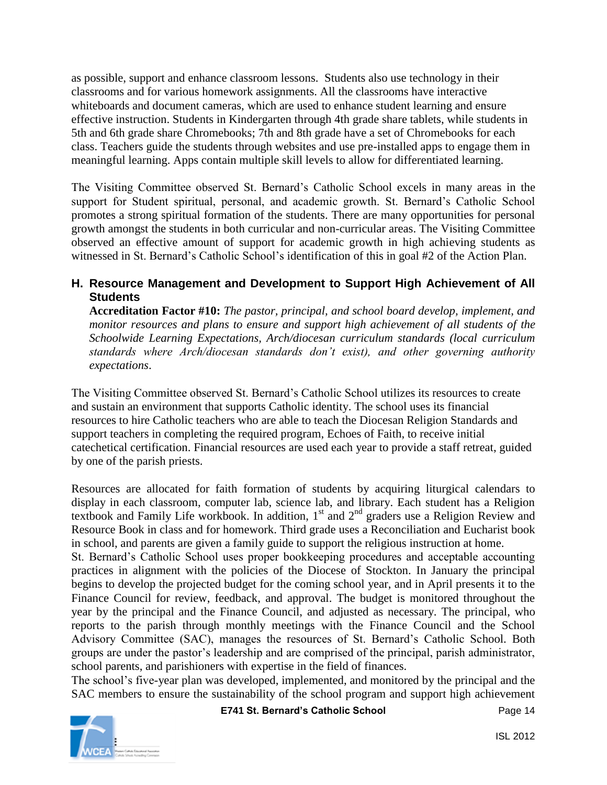as possible, support and enhance classroom lessons. Students also use technology in their classrooms and for various homework assignments. All the classrooms have interactive whiteboards and document cameras, which are used to enhance student learning and ensure effective instruction. Students in Kindergarten through 4th grade share tablets, while students in 5th and 6th grade share Chromebooks; 7th and 8th grade have a set of Chromebooks for each class. Teachers guide the students through websites and use pre-installed apps to engage them in meaningful learning. Apps contain multiple skill levels to allow for differentiated learning.

The Visiting Committee observed St. Bernard's Catholic School excels in many areas in the support for Student spiritual, personal, and academic growth. St. Bernard's Catholic School promotes a strong spiritual formation of the students. There are many opportunities for personal growth amongst the students in both curricular and non-curricular areas. The Visiting Committee observed an effective amount of support for academic growth in high achieving students as witnessed in St. Bernard's Catholic School's identification of this in goal #2 of the Action Plan.

#### **H. Resource Management and Development to Support High Achievement of All Students**

**Accreditation Factor #10:** *The pastor, principal, and school board develop, implement, and monitor resources and plans to ensure and support high achievement of all students of the Schoolwide Learning Expectations, Arch/diocesan curriculum standards (local curriculum standards where Arch/diocesan standards don't exist), and other governing authority expectations*.

The Visiting Committee observed St. Bernard's Catholic School utilizes its resources to create and sustain an environment that supports Catholic identity. The school uses its financial resources to hire Catholic teachers who are able to teach the Diocesan Religion Standards and support teachers in completing the required program, Echoes of Faith, to receive initial catechetical certification. Financial resources are used each year to provide a staff retreat, guided by one of the parish priests.

Resources are allocated for faith formation of students by acquiring liturgical calendars to display in each classroom, computer lab, science lab, and library. Each student has a Religion textbook and Family Life workbook. In addition,  $1<sup>st</sup>$  and  $2<sup>nd</sup>$  graders use a Religion Review and Resource Book in class and for homework. Third grade uses a Reconciliation and Eucharist book in school, and parents are given a family guide to support the religious instruction at home.

St. Bernard's Catholic School uses proper bookkeeping procedures and acceptable accounting practices in alignment with the policies of the Diocese of Stockton. In January the principal begins to develop the projected budget for the coming school year, and in April presents it to the Finance Council for review, feedback, and approval. The budget is monitored throughout the year by the principal and the Finance Council, and adjusted as necessary. The principal, who reports to the parish through monthly meetings with the Finance Council and the School Advisory Committee (SAC), manages the resources of St. Bernard's Catholic School. Both groups are under the pastor's leadership and are comprised of the principal, parish administrator, school parents, and parishioners with expertise in the field of finances.

The school's five-year plan was developed, implemented, and monitored by the principal and the SAC members to ensure the sustainability of the school program and support high achievement

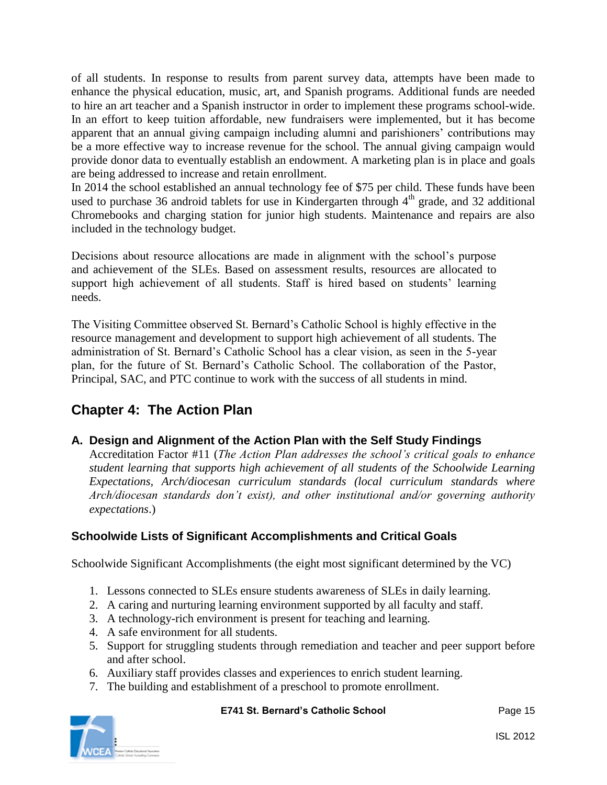of all students. In response to results from parent survey data, attempts have been made to enhance the physical education, music, art, and Spanish programs. Additional funds are needed to hire an art teacher and a Spanish instructor in order to implement these programs school-wide. In an effort to keep tuition affordable, new fundraisers were implemented, but it has become apparent that an annual giving campaign including alumni and parishioners' contributions may be a more effective way to increase revenue for the school. The annual giving campaign would provide donor data to eventually establish an endowment. A marketing plan is in place and goals are being addressed to increase and retain enrollment.

In 2014 the school established an annual technology fee of \$75 per child. These funds have been used to purchase 36 android tablets for use in Kindergarten through  $4<sup>th</sup>$  grade, and 32 additional Chromebooks and charging station for junior high students. Maintenance and repairs are also included in the technology budget.

Decisions about resource allocations are made in alignment with the school's purpose and achievement of the SLEs. Based on assessment results, resources are allocated to support high achievement of all students. Staff is hired based on students' learning needs.

The Visiting Committee observed St. Bernard's Catholic School is highly effective in the resource management and development to support high achievement of all students. The administration of St. Bernard's Catholic School has a clear vision, as seen in the 5-year plan, for the future of St. Bernard's Catholic School. The collaboration of the Pastor, Principal, SAC, and PTC continue to work with the success of all students in mind.

# **Chapter 4: The Action Plan**

## **A. Design and Alignment of the Action Plan with the Self Study Findings**

Accreditation Factor #11 (*The Action Plan addresses the school's critical goals to enhance student learning that supports high achievement of all students of the Schoolwide Learning Expectations, Arch/diocesan curriculum standards (local curriculum standards where Arch/diocesan standards don't exist), and other institutional and/or governing authority expectations*.)

## **Schoolwide Lists of Significant Accomplishments and Critical Goals**

Schoolwide Significant Accomplishments (the eight most significant determined by the VC)

- 1. Lessons connected to SLEs ensure students awareness of SLEs in daily learning.
- 2. A caring and nurturing learning environment supported by all faculty and staff.
- 3. A technology-rich environment is present for teaching and learning.
- 4. A safe environment for all students.
- 5. Support for struggling students through remediation and teacher and peer support before and after school.
- 6. Auxiliary staff provides classes and experiences to enrich student learning.
- 7. The building and establishment of a preschool to promote enrollment.



#### **E741 St. Bernard's Catholic School** Page 15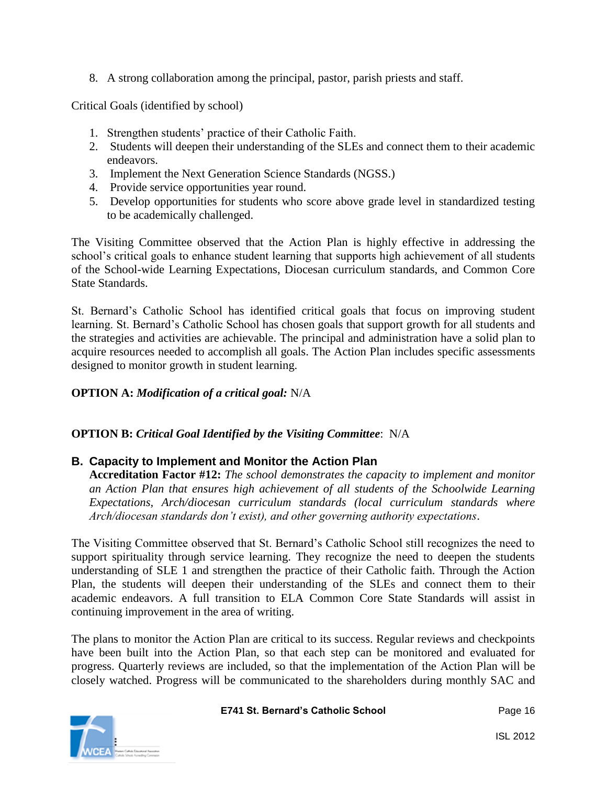8. A strong collaboration among the principal, pastor, parish priests and staff.

Critical Goals (identified by school)

- 1. Strengthen students' practice of their Catholic Faith.
- 2. Students will deepen their understanding of the SLEs and connect them to their academic endeavors.
- 3. Implement the Next Generation Science Standards (NGSS.)
- 4. Provide service opportunities year round.
- 5. Develop opportunities for students who score above grade level in standardized testing to be academically challenged.

The Visiting Committee observed that the Action Plan is highly effective in addressing the school's critical goals to enhance student learning that supports high achievement of all students of the School-wide Learning Expectations, Diocesan curriculum standards, and Common Core State Standards.

St. Bernard's Catholic School has identified critical goals that focus on improving student learning. St. Bernard's Catholic School has chosen goals that support growth for all students and the strategies and activities are achievable. The principal and administration have a solid plan to acquire resources needed to accomplish all goals. The Action Plan includes specific assessments designed to monitor growth in student learning.

#### **OPTION A:** *Modification of a critical goal:* N/A

#### **OPTION B:** *Critical Goal Identified by the Visiting Committee*: N/A

#### **B. Capacity to Implement and Monitor the Action Plan**

**Accreditation Factor #12:** *The school demonstrates the capacity to implement and monitor an Action Plan that ensures high achievement of all students of the Schoolwide Learning Expectations, Arch/diocesan curriculum standards (local curriculum standards where Arch/diocesan standards don't exist), and other governing authority expectations*.

The Visiting Committee observed that St. Bernard's Catholic School still recognizes the need to support spirituality through service learning. They recognize the need to deepen the students understanding of SLE 1 and strengthen the practice of their Catholic faith. Through the Action Plan, the students will deepen their understanding of the SLEs and connect them to their academic endeavors. A full transition to ELA Common Core State Standards will assist in continuing improvement in the area of writing.

The plans to monitor the Action Plan are critical to its success. Regular reviews and checkpoints have been built into the Action Plan, so that each step can be monitored and evaluated for progress. Quarterly reviews are included, so that the implementation of the Action Plan will be closely watched. Progress will be communicated to the shareholders during monthly SAC and